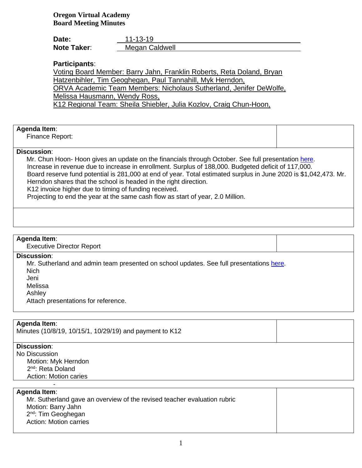**Oregon Virtual Academy Board Meeting Minutes**

| Date:              | 11-13-19       |
|--------------------|----------------|
| <b>Note Taker:</b> | Megan Caldwell |

# **Participants**:

Voting Board Member: Barry Jahn, Franklin Roberts, Reta Doland, Bryan Hatzenbihler, Tim Geoghegan, Paul Tannahill, Myk Herndon, ORVA Academic Team Members: Nicholaus Sutherland, Jenifer DeWolfe, Melissa Hausmann, Wendy Ross, K12 Regional Team: Sheila Shiebler, Julia Kozlov, Craig Chun-Hoon,

### **Agenda Item**:

Finance Report:

#### **Discussion**:

Mr. Chun Hoon- Hoon gives an update on the financials through October. See full presentation [here.](https://k12inc-my.sharepoint.com/:b:/g/personal/mecaldwell_oregonva_org/ERy6uSv5NaxKjgR4EdqKwEkBvVTQAJnR4tClQMEh1EeNaQ?e=drCHcv) Increase in revenue due to increase in enrollment. Surplus of 188,000. Budgeted deficit of 117,000. Board reserve fund potential is 281,000 at end of year. Total estimated surplus in June 2020 is \$1,042,473. Mr. Herndon shares that the school is headed in the right direction. K12 invoice higher due to timing of funding received.

Projecting to end the year at the same cash flow as start of year, 2.0 Million.

#### **Agenda Item**:

Executive Director Report

#### **Discussion**:

Mr. Sutherland and admin team presented on school updates. See full presentations [here.](https://k12inc-my.sharepoint.com/personal/mecaldwell_oregonva_org/Documents/Documents/Secretary%20to%20the%20Board/Board%20Meetings/19-20/November%202019/Executive%20Director%20Summary.pdf)

Nich

Jeni

Melissa

Ashley

Attach presentations for reference.

# **Agenda Item**:

Minutes (10/8/19, 10/15/1, 10/29/19) and payment to K12

### **Discussion**:

No Discussion Motion: Myk Herndon 2<sup>nd</sup>: Reta Doland Action: Motion caries

-

#### **Agenda Item**:

Mr. Sutherland gave an overview of the revised teacher evaluation rubric Motion: Barry Jahn 2<sup>nd</sup>: Tim Geoghegan Action: Motion carries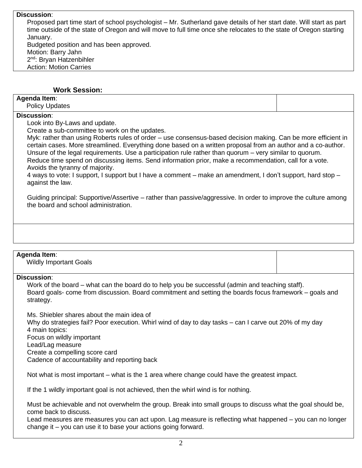### **Discussion**:

Proposed part time start of school psychologist – Mr. Sutherland gave details of her start date. Will start as part time outside of the state of Oregon and will move to full time once she relocates to the state of Oregon starting January. Budgeted position and has been approved. Motion: Barry Jahn 2<sup>nd</sup>: Bryan Hatzenbihler Action: Motion Carries

### **Work Session:**

### **Agenda Item**:

Policy Updates

# **Discussion**:

Look into By-Laws and update.

Create a sub-committee to work on the updates.

Myk: rather than using Roberts rules of order – use consensus-based decision making. Can be more efficient in certain cases. More streamlined. Everything done based on a written proposal from an author and a co-author. Unsure of the legal requirements. Use a participation rule rather than quorum – very similar to quorum. Reduce time spend on discussing items. Send information prior, make a recommendation, call for a vote. Avoids the tyranny of majority.

4 ways to vote: I support, I support but I have a comment – make an amendment, I don't support, hard stop – against the law.

Guiding principal: Supportive/Assertive – rather than passive/aggressive. In order to improve the culture among the board and school administration.

#### **Agenda Item**:

Wildly Important Goals

#### **Discussion**:

Work of the board – what can the board do to help you be successful (admin and teaching staff). Board goals- come from discussion. Board commitment and setting the boards focus framework – goals and strategy.

Ms. Shiebler shares about the main idea of Why do strategies fail? Poor execution. Whirl wind of day to day tasks – can I carve out 20% of my day 4 main topics: Focus on wildly important Lead/Lag measure Create a compelling score card Cadence of accountability and reporting back

Not what is most important – what is the 1 area where change could have the greatest impact.

If the 1 wildly important goal is not achieved, then the whirl wind is for nothing.

Must be achievable and not overwhelm the group. Break into small groups to discuss what the goal should be, come back to discuss.

Lead measures are measures you can act upon. Lag measure is reflecting what happened – you can no longer change it – you can use it to base your actions going forward.